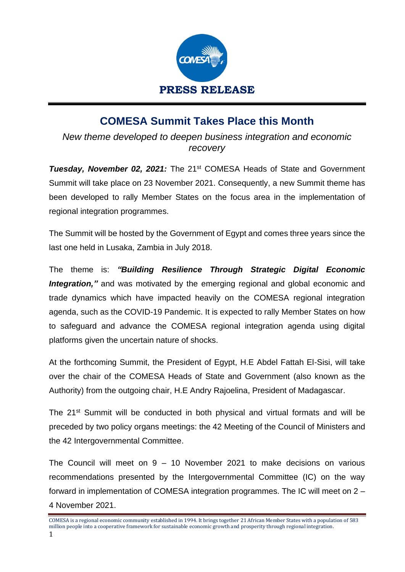

## **COMESA Summit Takes Place this Month**

*New theme developed to deepen business integration and economic recovery* 

**Tuesday, November 02, 2021:** The 21<sup>st</sup> COMESA Heads of State and Government Summit will take place on 23 November 2021. Consequently, a new Summit theme has been developed to rally Member States on the focus area in the implementation of regional integration programmes.

The Summit will be hosted by the Government of Egypt and comes three years since the last one held in Lusaka, Zambia in July 2018.

The theme is: *"Building Resilience Through Strategic Digital Economic*  **Integration,**" and was motivated by the emerging regional and global economic and trade dynamics which have impacted heavily on the COMESA regional integration agenda, such as the COVID-19 Pandemic. It is expected to rally Member States on how to safeguard and advance the COMESA regional integration agenda using digital platforms given the uncertain nature of shocks.

At the forthcoming Summit, the President of Egypt, H.E Abdel Fattah El-Sisi, will take over the chair of the COMESA Heads of State and Government (also known as the Authority) from the outgoing chair, H.E Andry Rajoelina, President of Madagascar.

The 21<sup>st</sup> Summit will be conducted in both physical and virtual formats and will be preceded by two policy organs meetings: the 42 Meeting of the Council of Ministers and the 42 Intergovernmental Committee.

The Council will meet on 9 – 10 November 2021 to make decisions on various recommendations presented by the Intergovernmental Committee (IC) on the way forward in implementation of COMESA integration programmes. The IC will meet on 2 – 4 November 2021.

COMESA is a regional economic community established in 1994. It brings together 21 African Member States with a population of 583 million people into a cooperative framework for sustainable economic growth and prosperity through regional integration. 1